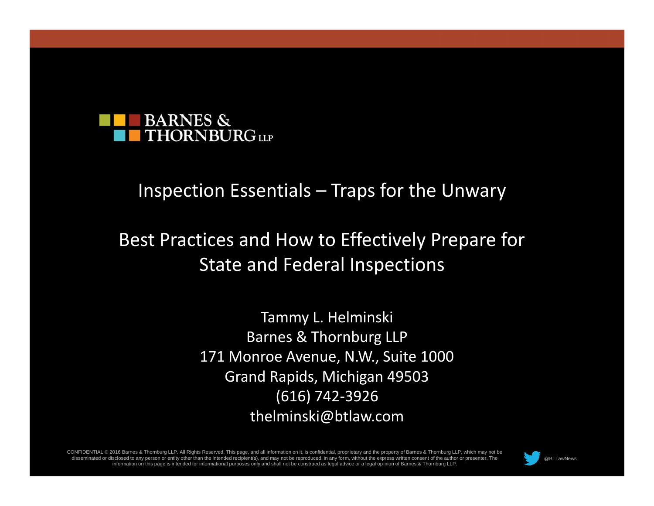

#### Inspection Essentials – Traps for the Unwary

#### Best Practices and How to Effectively Prepare for State and Federal Inspections

Tammy L. Helminski Barnes & Thornburg LLP 171 Monroe Avenue, N.W., Suite 1000 Grand Rapids, Michigan 49503 (616) 742-3926 thelminski@btlaw.com

CONFIDENTIAL © 2016 Barnes & Thornburg LLP. All Rights Reserved. This page, and all information on it, is confidential, proprietary and the property of Barnes & Thornburg LLP, which may not be disseminated or disclosed to any person or entity other than the intended recipient(s), and may not be reproduced, in any form, without the express written consent of the author or presenter. The sclosed to any person or entity other than the intended recipient(s), and may not be reproduced, in any form, without the express written consent of the author or presenter. The @BTLawNews @BTLawNews information on this pa



Page 1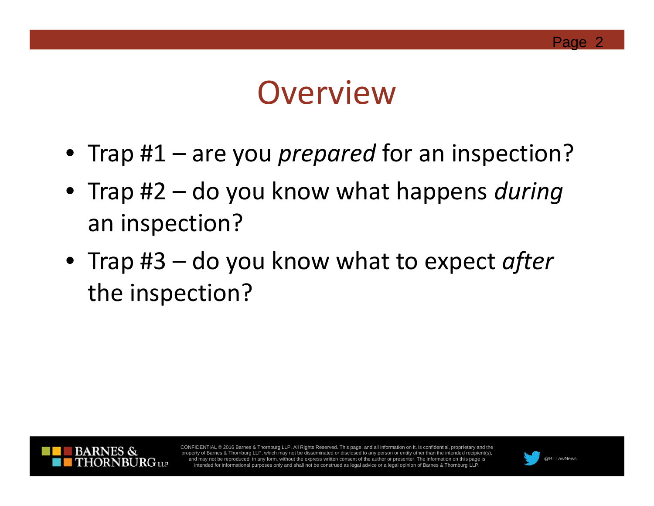

## **Overview**

- Trap #1 are you *prepared* for an inspection?
- Trap #2 do you know what happens *during* an inspection?
- Trap #3 do you know what to expect *after* the inspection?



CONFIDENTIAL © 2016 Barnes & Thornburg LLP. All Rights Reserved. This page, and all information on it, is confidential, proprietary and the property of Barnes & Thornburg LLP, which may not be disseminated or disclosed to any person or entity other than the intended recipient(s), and may not be reproduced, in any form, without the express written consent of the author or presenter. The information on this page is @BTLawNews intended for informational purposes only and shall not be construed as lega

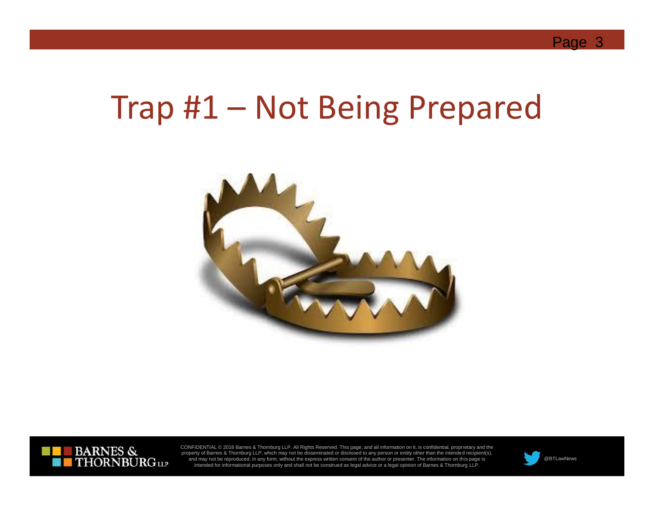## Trap #1 – Not Being Prepared





CONFIDENTIAL © 2016 Barnes & Thornburg LLP. All Rights Reserved. This page, and all information on it, is confidential, proprietary and the<br>property of Barnes & Thornburg LLP, which may not be disseminated or disclosed to and may not be reproduced, in any form, without the express written consent of the author or presenter. The information on this page is Intended for informational purposes only and shall not be construed as legal advice or a legal opinion of Barnes & Thornburg LLP. @BTLawNews intended for informational purposes only and shall not be construed as legal advi

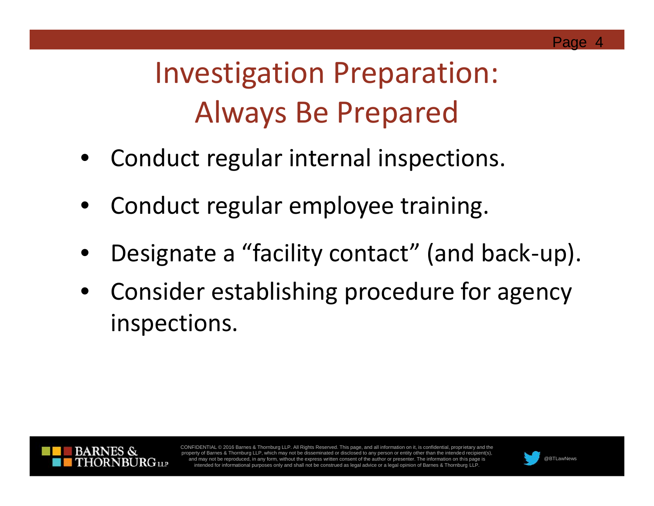## Investigation Preparation: Always Be Prepared

- Conduct regular internal inspections.
- Conduct regular employee training.
- Designate a "facility contact" (and back-up).
- Consider establishing procedure for agency inspections.



CONFIDENTIAL © 2016 Barnes & Thornburg LLP. All Rights Reserved. This page, and all information on it, is confidential, proprietary and the property of Barnes & Thornburg LLP, which may not be disseminated or disclosed to any person or entity other than the intended recip and may not be reproduced, in any form, without the express written consent of the author or presenter. The information on this page is @BTLawNews intended for informational purposes only and shall not be construed as lega

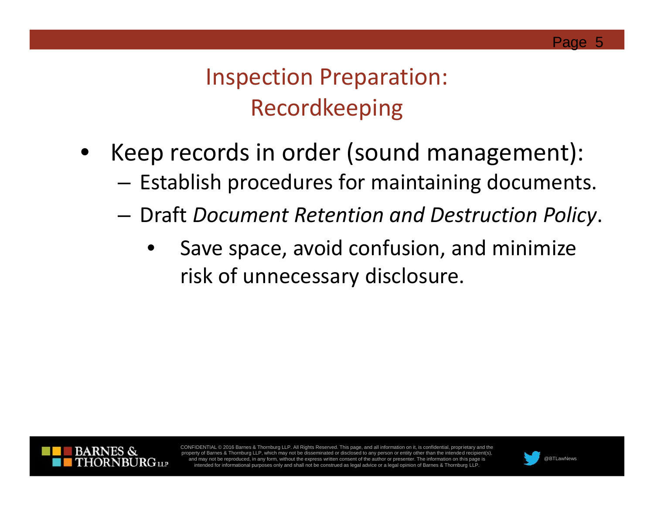Inspection Preparation: Recordkeeping

- Keep records in order (sound management):
	- Establish procedures for maintaining documents.
	- Draft *Document Retention and Destruction Policy*.
		- Save space, avoid confusion, and minimize risk of unnecessary disclosure.



CONFIDENTIAL © 2016 Barnes & Thornburg LLP. All Rights Reserved. This page, and all information on it, is confidential, proprietary and the property of Barnes & Thornburg LLP, which may not be disseminated or disclosed to any person or entity other than the intended recipie and may not be reproduced, in any form, without the express written consent of the author or presenter. The information on this page is @BTLawNews intended for informational purposes only and shall not be construed as lega

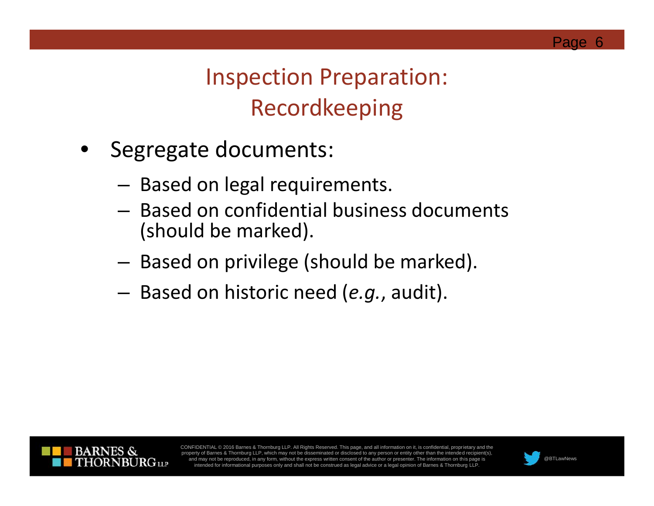Inspection Preparation: Recordkeeping

- Segregate documents:
	- Based on legal requirements.
	- Based on confidential business documents (should be marked).
	- Based on privilege (should be marked).
	- Based on historic need (*e.g.*, audit).



CONFIDENTIAL © 2016 Barnes & Thornburg LLP. All Rights Reserved. This page, and all information on it, is confidential, proprietary and the property of Barnes & Thornburg LLP, which may not be disseminated or disclosed to any person or entity other than the intended recipient(s) and may not be reproduced, in any form, without the express written consent of the author or presenter. The information on this page is @BTLawNews intended for informational purposes only and shall not be construed as lega

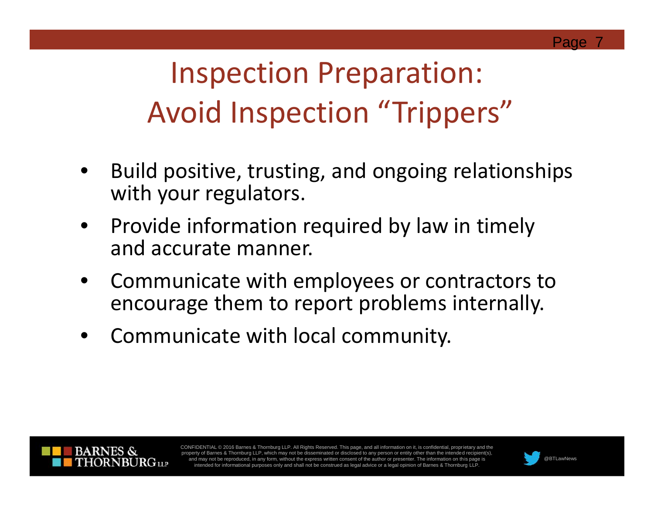# Inspection Preparation: Avoid Inspection "Trippers"

- Build positive, trusting, and ongoing relationships with your regulators.
- Provide information required by law in timely and accurate manner.
- Communicate with employees or contractors to encourage them to report problems internally.
- Communicate with local community.



CONFIDENTIAL © 2016 Barnes & Thornburg LLP. All Rights Reserved. This page, and all information on it, is confidential, proprietary and the of Barnes & Thornburg LLP, which may not be disseminated or disclosed to any person or entity other than the intended and may not be reproduced, in any form, without the express written consent of the author or presenter. The information on this page is @BTLawNews intended for informational purposes only and shall not be construed as lega

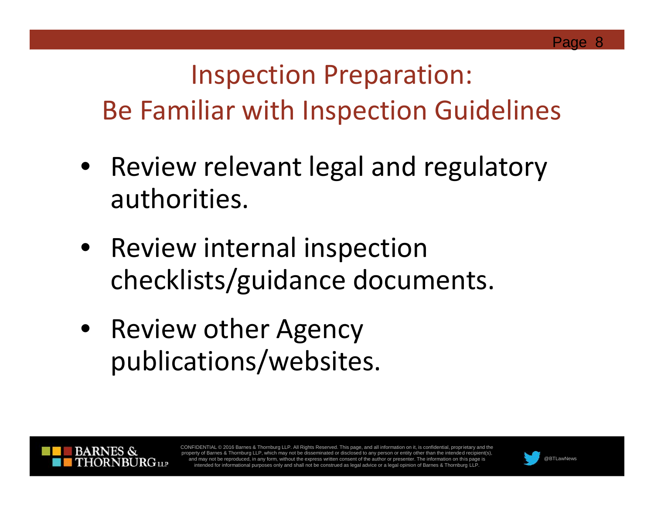## Inspection Preparation: Be Familiar with Inspection Guidelines

- Review relevant legal and regulatory authorities.
- Review internal inspection checklists/guidance documents.
- Review other Agency publications/websites.



CONFIDENTIAL © 2016 Barnes & Thornburg LLP. All Rights Reserved. This page, and all information on it, is confidential, proprietary and the property of Barnes & Thornburg LLP, which may not be disseminated or disclosed to any person or entity other than the intended recip and may not be reproduced, in any form, without the express written consent of the author or presenter. The information on this page is @BTLawNews intended for informational purposes only and shall not be construed as lega

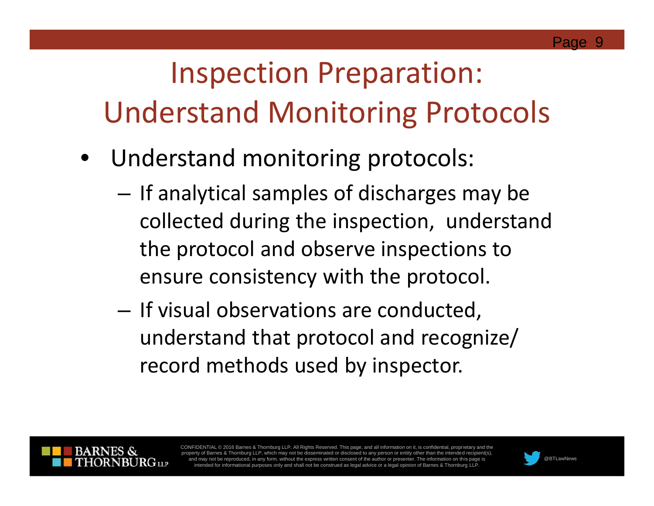# Inspection Preparation: Understand Monitoring Protocols

- Understand monitoring protocols:
	- If analytical samples of discharges may be collected during the inspection, understand the protocol and observe inspections to ensure consistency with the protocol.
	- If visual observations are conducted, understand that protocol and recognize/ record methods used by inspector.



CONFIDENTIAL © 2016 Barnes & Thornburg LLP. All Rights Reserved. This page, and all information on it, is confidential, proprietary and the of Barnes & Thornburg LLP, which may not be disseminated or disclosed to any person or entity other than the intended and may not be reproduced, in any form, without the express written consent of the author or presenter. The information on this page is @BTLawNews intended for informational purposes only and shall not be construed as lega

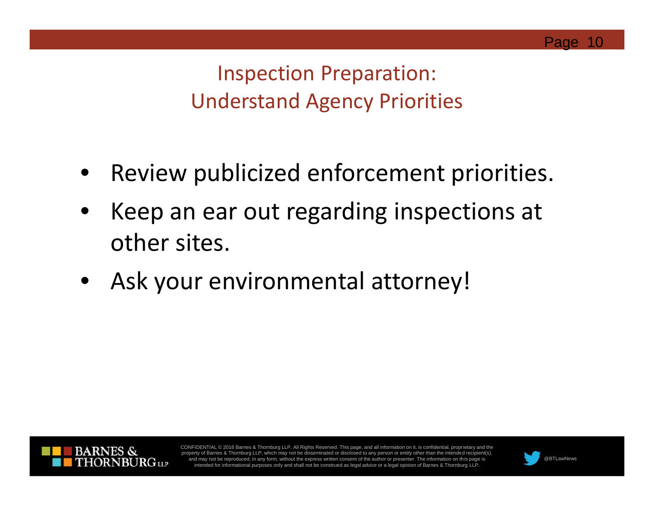Inspection Preparation: Understand Agency Priorities

- Review publicized enforcement priorities.
- Keep an ear out regarding inspections at other sites.
- Ask your environmental attorney!



CONFIDENTIAL © 2016 Barnes & Thornburg LLP. All Rights Reserved. This page, and all information on it, is confidential, proprietary and the property of Barnes & Thornburg LLP, which may not be disseminated or disclosed to any person or entity other than the intended recipient(s) and may not be reproduced, in any form, without the express written consent of the author or presenter. The information on this page is @BTLawNews intended for informational purposes only and shall not be construed as lega

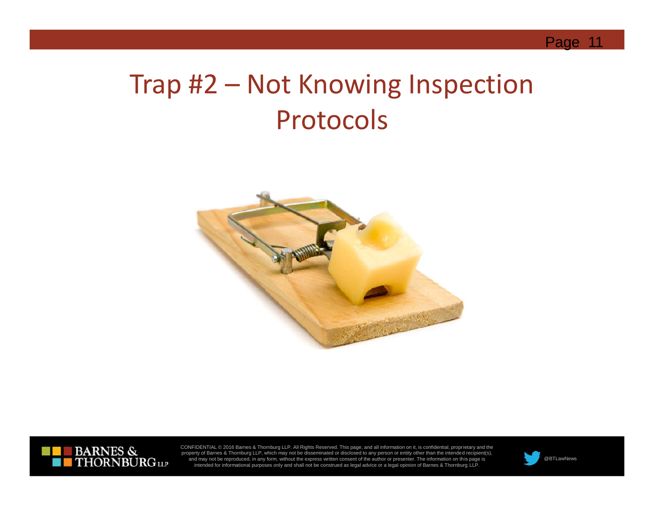#### Trap #2 – Not Knowing Inspection Protocols





CONFIDENTIAL © 2016 Barnes & Thornburg LLP. All Rights Reserved. This page, and all information on it, is confidential, proprietary and the<br>property of Barnes & Thornburg LLP, which may not be disseminated or disclosed to and may not be reproduced, in any form, without the express written consent of the author or presenter. The information on this page is Intended for informational purposes only and shall not be construed as legal advice or a legal opinion of Barnes & Thornburg LLP. @BTLawNews intended for informational purposes only and shall not be construed as legal advi

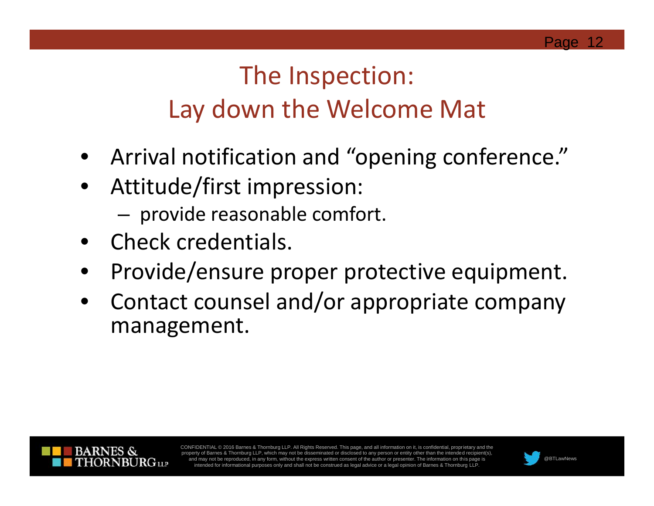### The Inspection: Lay down the Welcome Mat

- Arrival notification and "opening conference."
- Attitude/first impression:
	- provide reasonable comfort.
- Check credentials.
- Provide/ensure proper protective equipment.
- Contact counsel and/or appropriate company management.



CONFIDENTIAL © 2016 Barnes & Thornburg LLP. All Rights Reserved. This page, and all information on it, is confidential, proprietary and the property of Barnes & Thornburg LLP, which may not be disseminated or disclosed to any person or entity other than the intended recipient and may not be reproduced, in any form, without the express written consent of the author or presenter. The information on this page is @BTLawNews intended for informational purposes only and shall not be construed as lega

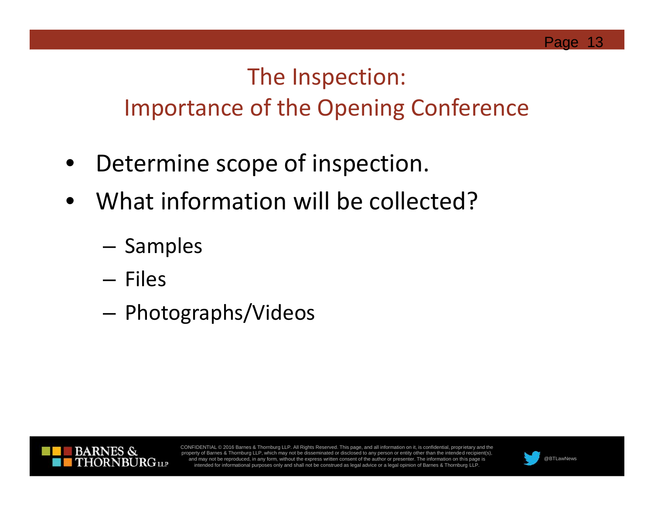#### The Inspection: Importance of the Opening Conference

- Determine scope of inspection.
- What information will be collected?
	- Samples
	- Files
	- Photographs/Videos



CONFIDENTIAL © 2016 Barnes & Thornburg LLP. All Rights Reserved. This page, and all information on it, is confidential, proprietary and the property of Barnes & Thornburg LLP, which may not be disseminated or disclosed to any person or entity other than the intended recipient(s) and may not be reproduced, in any form, without the express written consent of the author or presenter. The information on this page is @BTLawNews intended for informational purposes only and shall not be construed as lega

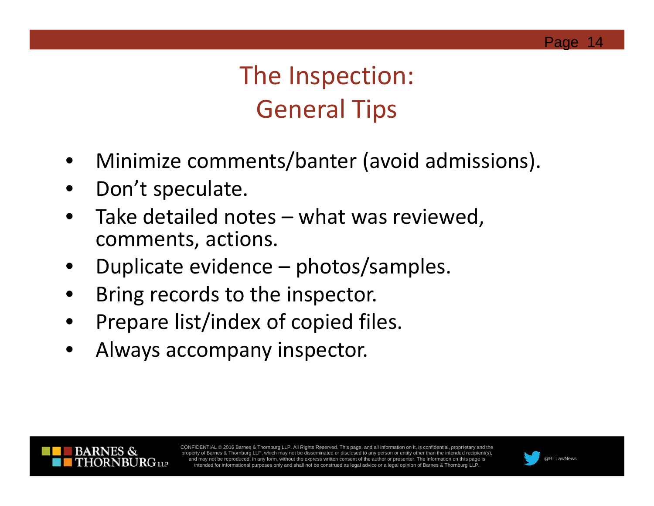### The Inspection: General Tips

- Minimize comments/banter (avoid admissions).
- Don't speculate.
- Take detailed notes what was reviewed, comments, actions.
- Duplicate evidence photos/samples.
- Bring records to the inspector.
- Prepare list/index of copied files.
- Always accompany inspector.



CONFIDENTIAL © 2016 Barnes & Thornburg LLP. All Rights Reserved. This page, and all information on it, is confidential, proprietary and the property of Barnes & Thornburg LLP, which may not be disseminated or disclosed to any person or entity other than the intended recipient(s), and may not be reproduced, in any form, without the express written consent of the author or presenter. The information on this page is @BTLawNews intended for informational purposes only and shall not be construed as lega

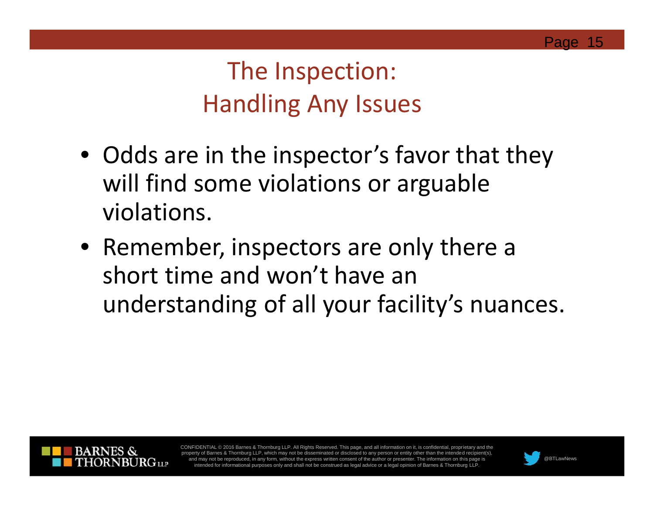#### The Inspection: Handling Any Issues

- Odds are in the inspector's favor that they will find some violations or arguable violations.
- Remember, inspectors are only there a short time and won't have an understanding of all your facility's nuances.



CONFIDENTIAL © 2016 Barnes & Thornburg LLP. All Rights Reserved. This page, and all information on it, is confidential, proprietary and the property of Barnes & Thornburg LLP, which may not be disseminated or disclosed to any person or entity other than the intended recipi and may not be reproduced, in any form, without the express written consent of the author or presenter. The information on this page is @BTLawNews intended for informational purposes only and shall not be construed as lega

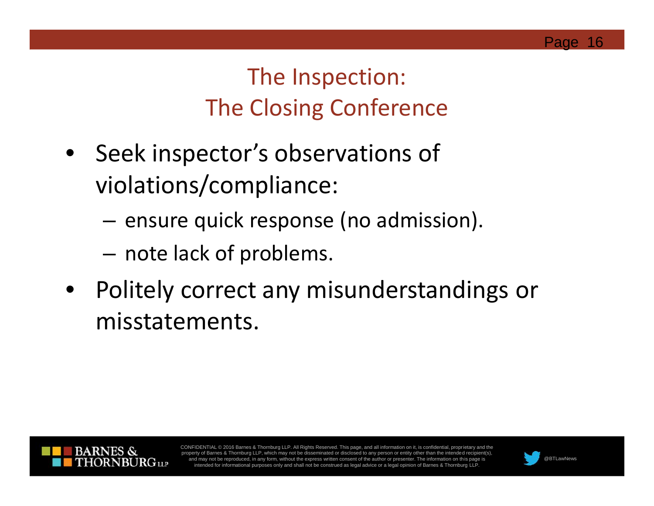#### The Inspection: The Closing Conference

- Seek inspector's observations of violations/compliance:
	- ensure quick response (no admission).
	- note lack of problems.
- Politely correct any misunderstandings or misstatements.



CONFIDENTIAL © 2016 Barnes & Thornburg LLP. All Rights Reserved. This page, and all information on it, is confidential, proprietary and the property of Barnes & Thornburg LLP, which may not be disseminated or disclosed to any person or entity other than the intended recipie and may not be reproduced, in any form, without the express written consent of the author or presenter. The information on this page is @BTLawNews intended for informational purposes only and shall not be construed as lega

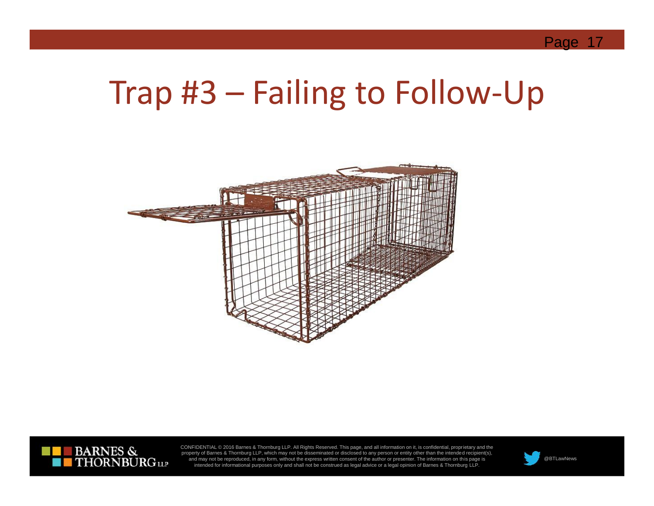## Trap #3 – Failing to Follow-Up





CONFIDENTIAL © 2016 Barnes & Thornburg LLP. All Rights Reserved. This page, and all information on it, is confidential, proprietary and the<br>property of Barnes & Thornburg LLP, which may not be disseminated or disclosed to and may not be reproduced, in any form, without the express written consent of the author or presenter. The information on this page is @BTLawNews intended for informational purposes only and shall not be construed as lega

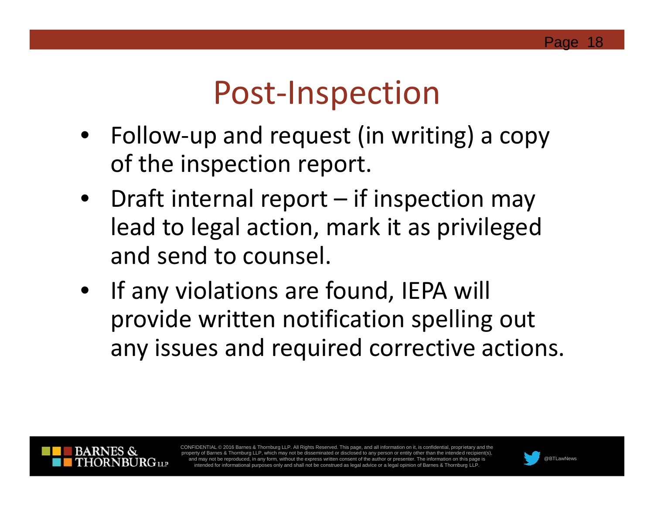## Post-Inspection

- Follow-up and request (in writing) a copy of the inspection report.
- Draft internal report if inspection may lead to legal action, mark it as privileged and send to counsel.
- If any violations are found, IEPA will provide written notification spelling out any issues and required corrective actions.



CONFIDENTIAL © 2016 Barnes & Thornburg LLP. All Rights Reserved. This page, and all information on it, is confidential, proprietary and the of Barnes & Thornburg LLP, which may not be disseminated or disclosed to any person or entity other than the intended recipi and may not be reproduced, in any form, without the express written consent of the author or presenter. The information on this page is @BTLawNews intended for informational purposes only and shall not be construed as lega